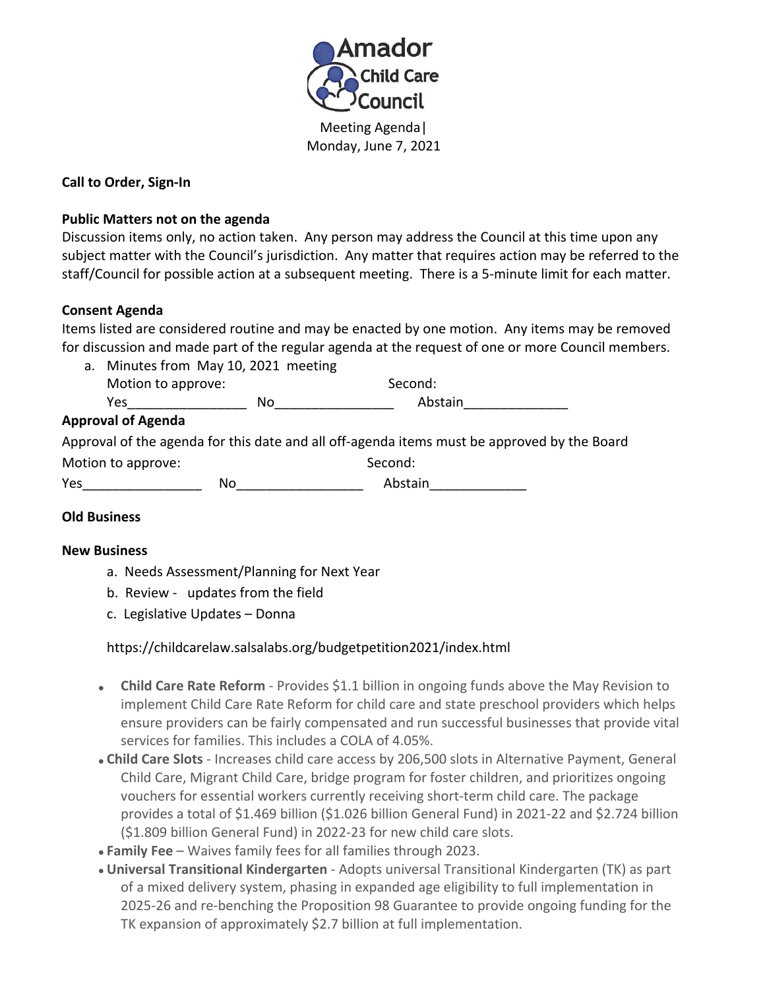

Monday, June 7, 2021

### **Call to Order, Sign-In**

### **Public Matters not on the agenda**

Discussion items only, no action taken. Any person may address the Council at this time upon any subject matter with the Council's jurisdiction. Any matter that requires action may be referred to the staff/Council for possible action at a subsequent meeting. There is a 5-minute limit for each matter.

### **Consent Agenda**

Items listed are considered routine and may be enacted by one motion. Any items may be removed for discussion and made part of the regular agenda at the request of one or more Council members.

a. Minutes from May 10, 2021 meeting Motion to approve: Second: Yes No No Abstain

### **Approval of Agenda**

|                    |    | Approval of the agenda for this date and all off-agenda items must be approved by the Board |  |
|--------------------|----|---------------------------------------------------------------------------------------------|--|
| Motion to approve: |    | Second:                                                                                     |  |
| Yes                | No | Abstain                                                                                     |  |

# **Old Business**

### **New Business**

- a. Needs Assessment/Planning for Next Year
- b. Review updates from the field
- c. Legislative Updates Donna

# https://childcarelaw.salsalabs.org/budgetpetition2021/index.html

- **Child Care Rate Reform** Provides \$1.1 billion in ongoing funds above the May Revision to implement Child Care Rate Reform for child care and state preschool providers which helps ensure providers can be fairly compensated and run successful businesses that provide vital services for families. This includes a COLA of 4.05%.
- **Child Care Slots** Increases child care access by 206,500 slots in Alternative Payment, General Child Care, Migrant Child Care, bridge program for foster children, and prioritizes ongoing vouchers for essential workers currently receiving short-term child care. The package provides a total of \$1.469 billion (\$1.026 billion General Fund) in 2021-22 and \$2.724 billion (\$1.809 billion General Fund) in 2022-23 for new child care slots.
- **Family Fee**  Waives family fees for all families through 2023.
- **Universal Transitional Kindergarten** Adopts universal Transitional Kindergarten (TK) as part of a mixed delivery system, phasing in expanded age eligibility to full implementation in 2025-26 and re-benching the Proposition 98 Guarantee to provide ongoing funding for the TK expansion of approximately \$2.7 billion at full implementation.